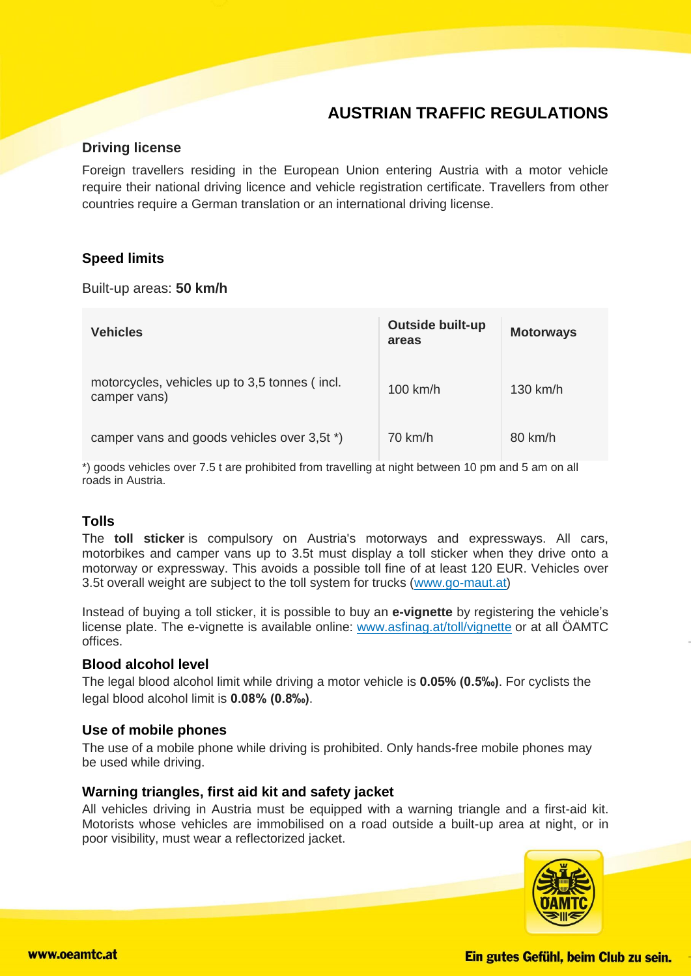# **AUSTRIAN TRAFFIC REGULATIONS**

# **Driving license**

Foreign travellers residing in the European Union entering Austria with a motor vehicle require their national driving licence and vehicle registration certificate. Travellers from other countries require a German translation or an international driving license.

# **Speed limits**

Built-up areas: **50 km/h**

| <b>Vehicles</b>                                               | <b>Outside built-up</b><br>areas | <b>Motorways</b> |
|---------------------------------------------------------------|----------------------------------|------------------|
| motorcycles, vehicles up to 3,5 tonnes (incl.<br>camper vans) | $100$ km/h                       | $130$ km/h       |
| camper vans and goods vehicles over 3,5t *)                   | $70 \text{ km/h}$                | 80 km/h          |

\*) goods vehicles over 7.5 t are prohibited from travelling at night between 10 pm and 5 am on all roads in Austria.

# **Tolls**

The **toll sticker** is compulsory on Austria's motorways and expressways. All cars, motorbikes and camper vans up to 3.5t must display a toll sticker when they drive onto a motorway or expressway. This avoids a possible toll fine of at least 120 EUR. Vehicles over 3.5t overall weight are subject to the toll system for trucks [\(www.go-maut.at\)](http://www.go-maut.at/go/default.asp)

Instead of buying a toll sticker, it is possible to buy an **e-vignette** by registering the vehicle's license plate. The e-vignette is available online: [www.asfinag.at/toll/vignette](https://www.asfinag.at/toll/vignette/) or at all ÖAMTC offices.

#### **Blood alcohol level**

The legal blood alcohol limit while driving a motor vehicle is **0.05% (0.5‰)**. For cyclists the legal blood alcohol limit is **0.08% (0.8‰)**.

#### **Use of mobile phones**

The use of a mobile phone while driving is prohibited. Only hands-free mobile phones may be used while driving.

# **Warning triangles, first aid kit and safety jacket**

All vehicles driving in Austria must be equipped with a warning triangle and a first-aid kit. Motorists whose vehicles are immobilised on a road outside a built-up area at night, or in poor visibility, must wear a reflectorized jacket.